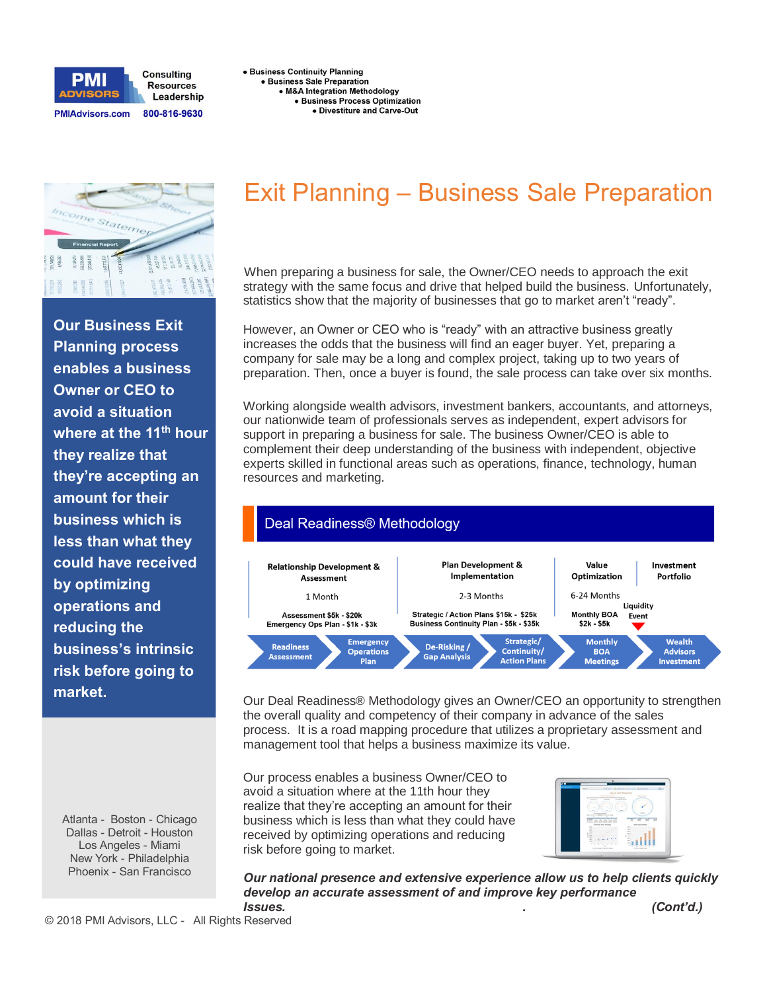

**.** Business Continuity Planning · Business Sale Preparation · M&A Integration Methodology · Business Process Optimization · Divestiture and Carve-Out



**Our Business Exit Planning process enables a business Owner or CEO to avoid a situation where at the 11th hour they realize that they're accepting an amount for their business which is less than what they could have received by optimizing operations and reducing the business's intrinsic risk before going to market.**

Atlanta - Boston - Chicago Dallas - Detroit - Houston Los Angeles - Miami New York - Philadelphia Phoenix - San Francisco

## **Exit Planning – Business Sale Preparation**

When preparing a business for sale, the Owner/CEO needs to approach the exit strategy with the same focus and drive that helped build the business. Unfortunately, statistics show that the majority of businesses that go to market aren't "ready".

However, an Owner or CEO who is "ready" with an attractive business greatly increases the odds that the business will find an eager buyer. Yet, preparing a company for sale may be a long and complex project, taking up to two years of preparation. Then, once a buyer is found, the sale process can take over six months.

Working alongside wealth advisors, investment bankers, accountants, and attorneys, our nationwide team of professionals serves as independent, expert advisors for support in preparing a business for sale. The business Owner/CEO is able to complement their deep understanding of the business with independent, objective experts skilled in functional areas such as operations, finance, technology, human resources and marketing.



Our Deal Readiness® Methodology gives an Owner/CEO an opportunity to strengthen the overall quality and competency of their company in advance of the sales process. It is a road mapping procedure that utilizes a proprietary assessment and management tool that helps a business maximize its value.

Our process enables a business Owner/CEO to avoid a situation where at the 11th hour they realize that they're accepting an amount for their business which is less than what they could have received by optimizing operations and reducing risk before going to market.



*Our national presence and extensive experience allow us to help clients quickly develop an accurate assessment of and improve key performance Issues. . (Cont'd.)*